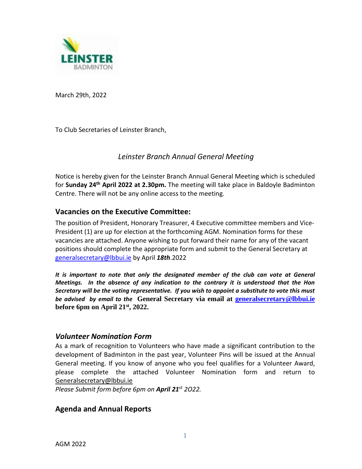

March 29th, 2022

To Club Secretaries of Leinster Branch,

# *Leinster Branch Annual General Meeting*

Notice is hereby given for the Leinster Branch Annual General Meeting which is scheduled for Sunday 24<sup>th</sup> April 2022 at 2.30pm. The meeting will take place in Baldoyle Badminton Centre. There will not be any online access to the meeting.

### **Vacancies on the Executive Committee:**

The position of President, Honorary Treasurer, 4 Executive committee members and Vice-President (1) are up for election at the forthcoming AGM. Nomination forms for these vacancies are attached. Anyone wishing to put forward their name for any of the vacant positions should complete the appropriate form and submit to the General Secretary at [generalsecretary@lbbui.ie](mailto:generalsecretary@lbbui.ie) by April *18th*.2022

*It is important to note that only the designated member of the club can vote at General Meetings. In the absence of any indication to the contrary it is understood that the Hon Secretary will be the voting representative. If you wish to appoint a substitute to vote this must be advised by email to the* **General Secretary via email at [generalsecretary@lbbui.ie](mailto:generalsecretary@lbbui.ie) before 6pm on April 21st, 2022.**

### *Volunteer Nomination Form*

As a mark of recognition to Volunteers who have made a significant contribution to the development of Badminton in the past year, Volunteer Pins will be issued at the Annual General meeting. If you know of anyone who you feel qualifies for a Volunteer Award, please complete the attached Volunteer Nomination form and return to [Generalsecretary@lbbui.ie](mailto:Generalsecretary@lbbui.ie)

*Please Submit form before 6pm on April 21 st 2O22.*

## **Agenda and Annual Reports**